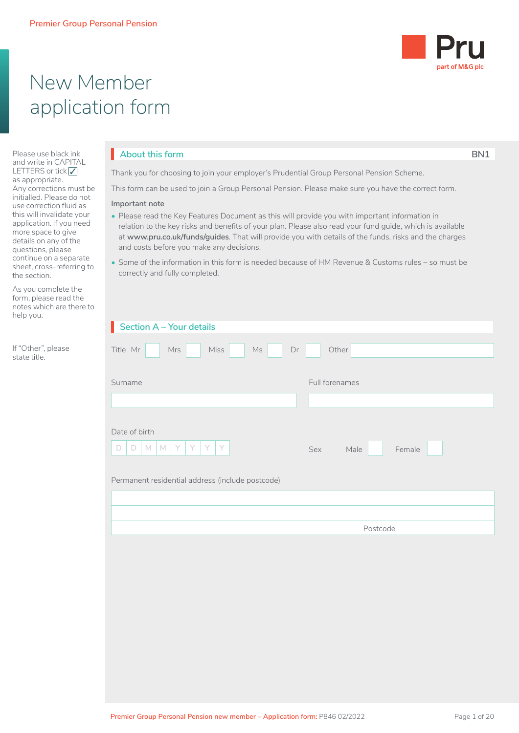

# New Member application form

Please use black ink and write in CAPITAL LETTERS or tick  $\sqrt{}$ as appropriate. Any corrections must be initialled. Please do not use correction fluid as this will invalidate your application. If you need more space to give details on any of the questions, please continue on a separate sheet, cross-referring to the section.

As you complete the form, please read the notes which are there to help you.

If "Other", please state title.

### **About this form BN1**

Thank you for choosing to join your employer's Prudential Group Personal Pension Scheme.

This form can be used to join a Group Personal Pension. Please make sure you have the correct form.

#### **Important note**

- Please read the Key Features Document as this will provide you with important information in relation to the key risks and benefits of your plan. Please also read your fund guide, which is available at **www.pru.co.uk/funds/guides**. That will provide you with details of the funds, risks and the charges and costs before you make any decisions.
- Some of the information in this form is needed because of HM Revenue & Customs rules so must be correctly and fully completed.

| Section $A - Your$ details                                                                                              |                       |
|-------------------------------------------------------------------------------------------------------------------------|-----------------------|
| Title Mr<br>Miss<br>Mrs<br>$\mathsf{Ms}$<br>Dr                                                                          | Other                 |
|                                                                                                                         |                       |
| Surname                                                                                                                 | Full forenames        |
|                                                                                                                         |                       |
| Date of birth<br>Y.<br>$M$ $M$<br>Y.<br>Y<br>Y.<br>$\Box$<br>$\Box$<br>Permanent residential address (include postcode) | Female<br>Sex<br>Male |
|                                                                                                                         |                       |
|                                                                                                                         |                       |
|                                                                                                                         | Postcode              |
|                                                                                                                         |                       |
|                                                                                                                         |                       |
|                                                                                                                         |                       |
|                                                                                                                         |                       |
|                                                                                                                         |                       |
|                                                                                                                         |                       |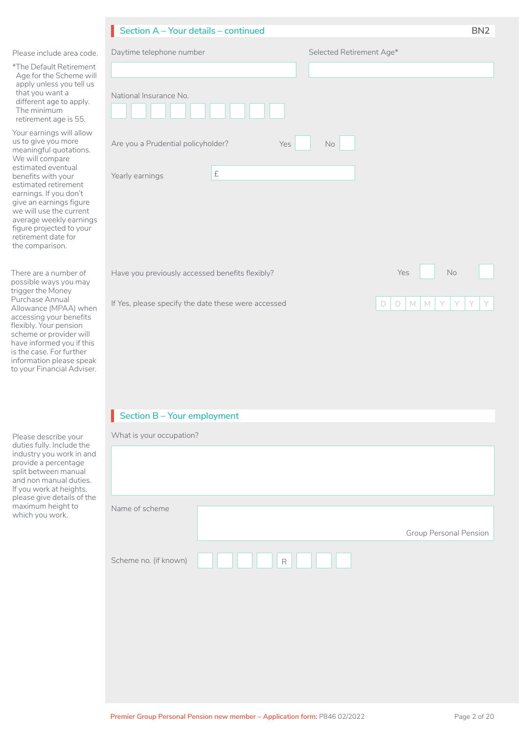|                                                                                                                                                                                                                                                                                                                                                   | Section A - Your details - continued                                                                   |                                                | BN <sub>2</sub> |
|---------------------------------------------------------------------------------------------------------------------------------------------------------------------------------------------------------------------------------------------------------------------------------------------------------------------------------------------------|--------------------------------------------------------------------------------------------------------|------------------------------------------------|-----------------|
| Please include area code.                                                                                                                                                                                                                                                                                                                         | Daytime telephone number                                                                               | Selected Retirement Age*                       |                 |
| *The Default Retirement<br>Age for the Scheme will<br>apply unless you tell us<br>that you want a<br>different age to apply.<br>The minimum<br>retirement age is 55.                                                                                                                                                                              | National Insurance No.                                                                                 |                                                |                 |
| Your earnings will allow<br>us to give you more<br>meaningful quotations.<br>We will compare<br>estimated eventual<br>benefits with your<br>estimated retirement<br>earnings. If you don't<br>give an earnings figure<br>we will use the current<br>average weekly earnings<br>figure projected to your<br>retirement date for<br>the comparison. | Are you a Prudential policyholder?<br>Yes<br>£<br>Yearly earnings                                      | <b>No</b>                                      |                 |
| There are a number of<br>possible ways you may<br>trigger the Money<br>Purchase Annual<br>Allowance (MPAA) when<br>accessing your benefits<br>flexibly. Your pension                                                                                                                                                                              | Have you previously accessed benefits flexibly?<br>If Yes, please specify the date these were accessed | <b>No</b><br>Yes<br>Y<br>Y<br>M<br>M<br>D<br>D | Y<br>Y          |

# **Section B – Your employment** I

scheme or provider will have informed you if this is the case. For further information please speak to your Financial Adviser.

| Please describe your<br>duties fully. Include the<br>industry you work in and<br>provide a percentage<br>split between manual<br>and non manual duties.<br>If you work at heights, | What is your occupation? |   |                               |
|------------------------------------------------------------------------------------------------------------------------------------------------------------------------------------|--------------------------|---|-------------------------------|
| please give details of the<br>maximum height to<br>which you work.                                                                                                                 | Name of scheme           |   |                               |
|                                                                                                                                                                                    |                          |   | <b>Group Personal Pension</b> |
|                                                                                                                                                                                    | Scheme no. (if known)    | R |                               |
|                                                                                                                                                                                    |                          |   |                               |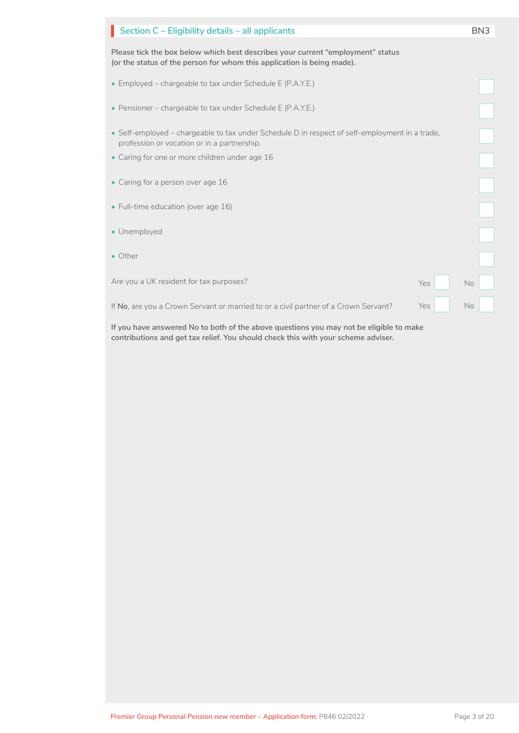| Section C - Eligibility details - all applicants                                                                                                          | BN <sub>3</sub> |
|-----------------------------------------------------------------------------------------------------------------------------------------------------------|-----------------|
| Please tick the box below which best describes your current "employment" status<br>(or the status of the person for whom this application is being made). |                 |
| • Employed – chargeable to tax under Schedule E (P.A.Y.E.)                                                                                                |                 |
| • Pensioner – chargeable to tax under Schedule E (P.A.Y.E.)                                                                                               |                 |
| • Self-employed – chargeable to tax under Schedule D in respect of self-employment in a trade,<br>profession or vocation or in a partnership.             |                 |
| • Caring for one or more children under age 16                                                                                                            |                 |
| • Caring for a person over age 16                                                                                                                         |                 |
| • Full-time education (over age 16)                                                                                                                       |                 |
| • Unemployed                                                                                                                                              |                 |
| • Other                                                                                                                                                   |                 |
| Are you a UK resident for tax purposes?<br>Yes                                                                                                            | No              |
| Yes<br>If No, are you a Crown Servant or married to or a civil partner of a Crown Servant?                                                                | <b>No</b>       |

**If you have answered No to both of the above questions you may not be eligible to make contributions and get tax relief. You should check this with your scheme adviser.**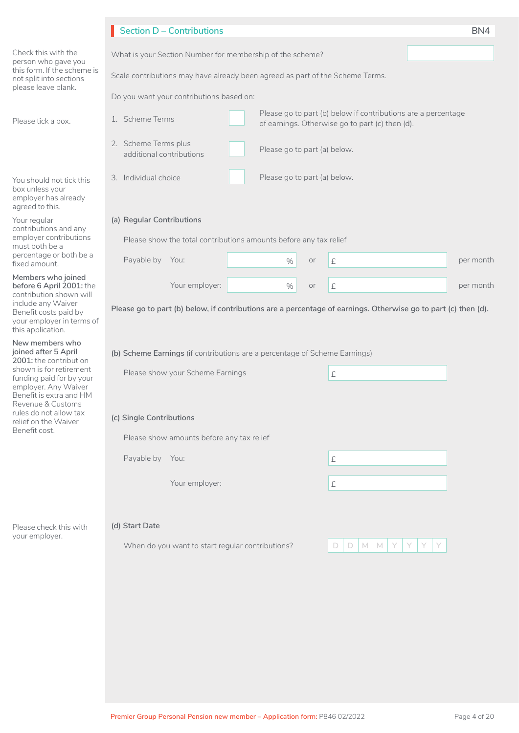|                                                                                                        | <b>Section D - Contributions</b>                                                                                                    | BN4       |
|--------------------------------------------------------------------------------------------------------|-------------------------------------------------------------------------------------------------------------------------------------|-----------|
| Check this with the<br>person who gave you                                                             | What is your Section Number for membership of the scheme?                                                                           |           |
| this form. If the scheme is<br>not split into sections                                                 | Scale contributions may have already been agreed as part of the Scheme Terms.                                                       |           |
| please leave blank.                                                                                    | Do you want your contributions based on:                                                                                            |           |
| Please tick a box.                                                                                     | Please go to part (b) below if contributions are a percentage<br>1. Scheme Terms<br>of earnings. Otherwise go to part (c) then (d). |           |
|                                                                                                        | 2. Scheme Terms plus<br>Please go to part (a) below.<br>additional contributions                                                    |           |
| You should not tick this<br>box unless your<br>employer has already<br>agreed to this.                 | Please go to part (a) below.<br>3. Individual choice                                                                                |           |
| Your regular<br>contributions and any                                                                  | (a) Regular Contributions                                                                                                           |           |
| employer contributions<br>must both be a                                                               | Please show the total contributions amounts before any tax relief                                                                   |           |
| percentage or both be a<br>fixed amount.                                                               | Payable by You:<br>$\%$<br>£<br>or                                                                                                  | per month |
| Members who joined<br>before 6 April 2001: the<br>contribution shown will                              | Your employer:<br>$\%$<br>£<br>or                                                                                                   | per month |
| include any Waiver<br>Benefit costs paid by<br>your employer in terms of<br>this application.          | Please go to part (b) below, if contributions are a percentage of earnings. Otherwise go to part (c) then (d).                      |           |
| New members who<br>joined after 5 April<br>2001: the contribution                                      | (b) Scheme Earnings (if contributions are a percentage of Scheme Earnings)                                                          |           |
| shown is for retirement<br>funding paid for by your<br>employer. Any Waiver<br>Benefit is extra and HM | Please show your Scheme Earnings<br>£                                                                                               |           |
| Revenue & Customs<br>rules do not allow tax                                                            | (c) Single Contributions                                                                                                            |           |
| relief on the Waiver<br>Benefit cost.                                                                  | Please show amounts before any tax relief                                                                                           |           |
|                                                                                                        | Payable by You:<br>£                                                                                                                |           |
|                                                                                                        |                                                                                                                                     |           |
|                                                                                                        | Your employer:<br>£                                                                                                                 |           |
| Please check this with                                                                                 | (d) Start Date                                                                                                                      |           |
| your employer.                                                                                         | When do you want to start regular contributions?<br>$M$ $M$<br>D.<br>D.                                                             |           |
|                                                                                                        |                                                                                                                                     |           |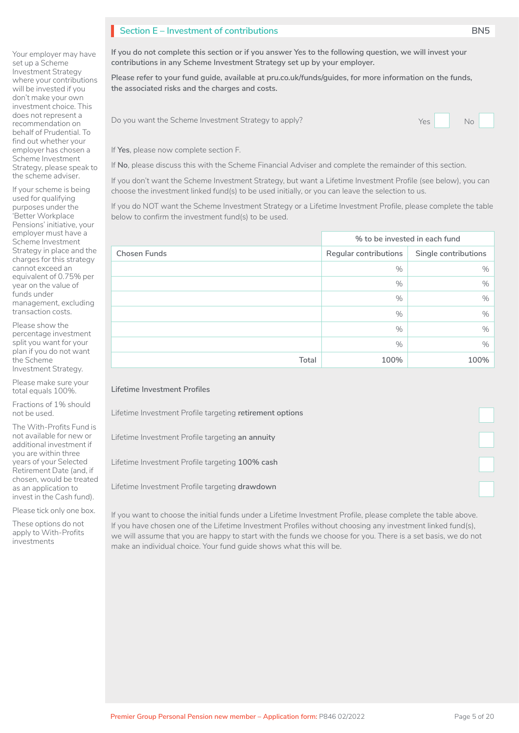# **Section E – Investment of contributions BN5**

Your employer may have set up a Scheme Investment Strategy where your contributions will be invested if you don't make your own investment choice. This does not represent a recommendation on behalf of Prudential. To find out whether your employer has chosen a Scheme Investment Strategy, please speak to the scheme adviser.

If your scheme is being used for qualifying purposes under the 'Better Workplace Pensions' initiative, your employer must have a Scheme Investment Strategy in place and the charges for this strategy cannot exceed an equivalent of 0.75% per year on the value of funds under management, excluding transaction costs.

Please show the percentage investment split you want for your plan if you do not want the Scheme Investment Strategy.

Please make sure your total equals 100%.

Fractions of 1% should not be used.

The With-Profits Fund is not available for new or additional investment if you are within three years of your Selected Retirement Date (and, if chosen, would be treated as an application to invest in the Cash fund).

Please tick only one box.

These options do not apply to With-Profits investments

**If you do not complete this section or if you answer Yes to the following question, we will invest your contributions in any Scheme Investment Strategy set up by your employer.**

**Please refer to your fund guide, available at pru.co.uk/funds/guides, for more information on the funds, the associated risks and the charges and costs.**

Do you want the Scheme Investment Strategy to apply? The North Strategy to apply?



If **Yes**, please now complete section F.

If **No**, please discuss this with the Scheme Financial Adviser and complete the remainder of this section.

If you don't want the Scheme Investment Strategy, but want a Lifetime Investment Profile (see below), you can choose the investment linked fund(s) to be used initially, or you can leave the selection to us.

If you do NOT want the Scheme Investment Strategy or a Lifetime Investment Profile, please complete the table below to confirm the investment fund(s) to be used.

|                     | % to be invested in each fund |                      |  |
|---------------------|-------------------------------|----------------------|--|
| <b>Chosen Funds</b> | Regular contributions         | Single contributions |  |
|                     | %                             | $\%$                 |  |
|                     | %                             | $\%$                 |  |
|                     | $\%$                          | $\%$                 |  |
|                     | $\%$                          | $\%$                 |  |
|                     | %                             | $\%$                 |  |
|                     | %                             | $\%$                 |  |
| Total               | 100%                          | 100%                 |  |

#### **Lifetime Investment Profiles**

Lifetime Investment Profile targeting **retirement options**

Lifetime Investment Profile targeting **an annuity**

Lifetime Investment Profile targeting **100% cash**

Lifetime Investment Profile targeting **drawdown**

If you want to choose the initial funds under a Lifetime Investment Profile, please complete the table above. If you have chosen one of the Lifetime Investment Profiles without choosing any investment linked fund(s), we will assume that you are happy to start with the funds we choose for you. There is a set basis, we do not make an individual choice. Your fund guide shows what this will be.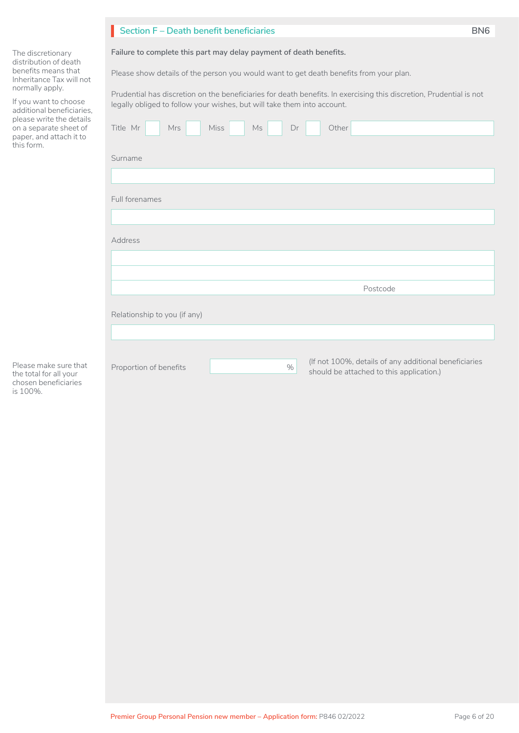|                                                                                                                                                                                                                                                                       | Section F - Death benefit beneficiaries                                                                                                                                                                                                                                                                                                                                                                               | BN <sub>6</sub> |
|-----------------------------------------------------------------------------------------------------------------------------------------------------------------------------------------------------------------------------------------------------------------------|-----------------------------------------------------------------------------------------------------------------------------------------------------------------------------------------------------------------------------------------------------------------------------------------------------------------------------------------------------------------------------------------------------------------------|-----------------|
| The discretionary<br>distribution of death<br>benefits means that<br>Inheritance Tax will not<br>normally apply.<br>If you want to choose<br>additional beneficiaries,<br>please write the details<br>on a separate sheet of<br>paper, and attach it to<br>this form. | Failure to complete this part may delay payment of death benefits.<br>Please show details of the person you would want to get death benefits from your plan.<br>Prudential has discretion on the beneficiaries for death benefits. In exercising this discretion, Prudential is not<br>legally obliged to follow your wishes, but will take them into account.<br>Other<br>Title Mr<br>Mrs<br><b>Miss</b><br>Ms<br>Dr |                 |
|                                                                                                                                                                                                                                                                       | Surname                                                                                                                                                                                                                                                                                                                                                                                                               |                 |
|                                                                                                                                                                                                                                                                       |                                                                                                                                                                                                                                                                                                                                                                                                                       |                 |
|                                                                                                                                                                                                                                                                       | Full forenames                                                                                                                                                                                                                                                                                                                                                                                                        |                 |
|                                                                                                                                                                                                                                                                       |                                                                                                                                                                                                                                                                                                                                                                                                                       |                 |
|                                                                                                                                                                                                                                                                       | Address                                                                                                                                                                                                                                                                                                                                                                                                               |                 |
|                                                                                                                                                                                                                                                                       |                                                                                                                                                                                                                                                                                                                                                                                                                       |                 |
|                                                                                                                                                                                                                                                                       | Postcode                                                                                                                                                                                                                                                                                                                                                                                                              |                 |
|                                                                                                                                                                                                                                                                       | Relationship to you (if any)                                                                                                                                                                                                                                                                                                                                                                                          |                 |
|                                                                                                                                                                                                                                                                       |                                                                                                                                                                                                                                                                                                                                                                                                                       |                 |
| Please make sure that<br>the total for all your<br>chosen beneficiaries                                                                                                                                                                                               | (If not 100%, details of any additional beneficiaries<br>Proportion of benefits<br>$\%$<br>should be attached to this application.)                                                                                                                                                                                                                                                                                   |                 |

Please make sure the total for all you chosen beneficiarie is 100%.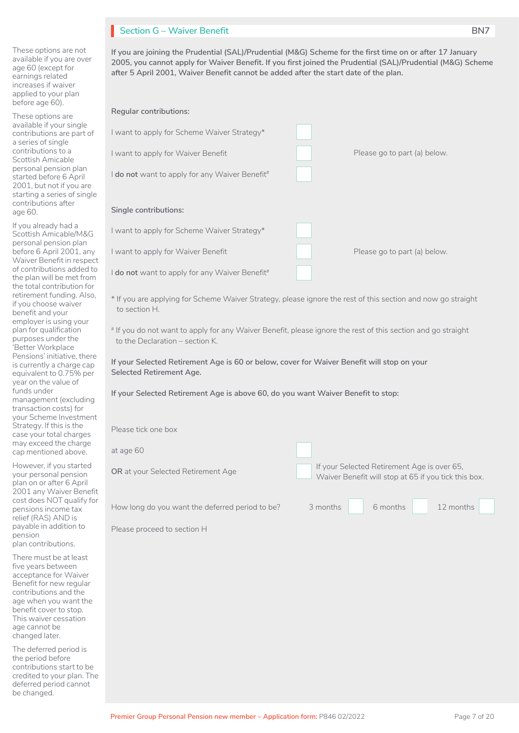# **Section G – Waiver Benefit BN7**

These options are not available if you are over age 60 (except for earnings related increases if waiver applied to your plan before age 60).

These options are available if your single contributions are part of a series of single contributions to a Scottish Amicable personal pension plan started before 6 April 2001, but not if you are starting a series of single contributions after age 60.

If you already had a Scottish Amicable/M&G personal pension plan before 6 April 2001, any Waiver Benefit in respect of contributions added to the plan will be met from the total contribution for retirement funding. Also, if you choose waiver benefit and your employer is using your plan for qualification purposes under the 'Better Workplace Pensions' initiative, there is currently a charge cap equivalent to 0.75% per year on the value of funds under management (excluding transaction costs) for your Scheme Investment Strategy. If this is the case your total charges may exceed the charge cap mentioned above.

However, if you started your personal pension plan on or after 6 April 2001 any Waiver Benefit cost does NOT qualify for pensions income tax relief (RAS) AND is payable in addition to pension plan contributions.

There must be at least five years between acceptance for Waiver Benefit for new regular contributions and the age when you want the benefit cover to stop. This waiver cessation age cannot be changed later.

The deferred period is the period before contributions start to be credited to your plan. The deferred period cannot be changed.

| If you are joining the Prudential (SAL)/Prudential (M&G) Scheme for the first time on or after 17 January   |
|-------------------------------------------------------------------------------------------------------------|
| 2005, you cannot apply for Waiver Benefit. If you first joined the Prudential (SAL)/Prudential (M&G) Scheme |
| after 5 April 2001. Waiver Benefit cannot be added after the start date of the plan.                        |

| <b>Regular contributions:</b>                                                                                                                   |                                                                                                     |
|-------------------------------------------------------------------------------------------------------------------------------------------------|-----------------------------------------------------------------------------------------------------|
| I want to apply for Scheme Waiver Strategy*                                                                                                     |                                                                                                     |
| I want to apply for Waiver Benefit                                                                                                              | Please go to part (a) below.                                                                        |
| I do not want to apply for any Waiver Benefit <sup>#</sup>                                                                                      |                                                                                                     |
|                                                                                                                                                 |                                                                                                     |
| Single contributions:                                                                                                                           |                                                                                                     |
| I want to apply for Scheme Waiver Strategy*                                                                                                     |                                                                                                     |
| I want to apply for Waiver Benefit                                                                                                              | Please go to part (a) below.                                                                        |
| I do not want to apply for any Waiver Benefit#                                                                                                  |                                                                                                     |
| * If you are applying for Scheme Waiver Strategy, please ignore the rest of this section and now go straight<br>to section H.                   |                                                                                                     |
| # If you do not want to apply for any Waiver Benefit, please ignore the rest of this section and go straight<br>to the Declaration - section K. |                                                                                                     |
| If your Selected Retirement Age is 60 or below, cover for Waiver Benefit will stop on your<br>Selected Retirement Age.                          |                                                                                                     |
| If your Selected Retirement Age is above 60, do you want Waiver Benefit to stop:                                                                |                                                                                                     |
|                                                                                                                                                 |                                                                                                     |
| Please tick one box                                                                                                                             |                                                                                                     |
| at age 60                                                                                                                                       |                                                                                                     |
| OR at your Selected Retirement Age                                                                                                              | If your Selected Retirement Age is over 65,<br>Waiver Benefit will stop at 65 if you tick this box. |
|                                                                                                                                                 |                                                                                                     |
| How long do you want the deferred period to be?                                                                                                 | 6 months<br>12 months<br>3 months                                                                   |
| Please proceed to section H                                                                                                                     |                                                                                                     |
|                                                                                                                                                 |                                                                                                     |
|                                                                                                                                                 |                                                                                                     |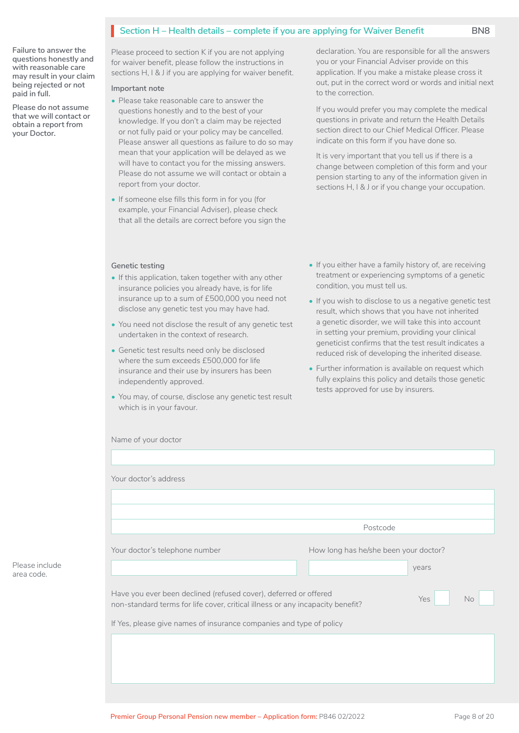# **Section H – Health details – complete if you are applying for Waiver Benefit** BN8

**Failure to answer the questions honestly and with reasonable care may result in your claim being rejected or not paid in full.**

**Please do not assume that we will contact or obtain a report from your Doctor.**

Please proceed to section K if you are not applying for waiver benefit, please follow the instructions in sections H, I & J if you are applying for waiver benefit.

#### **Important note**

- Please take reasonable care to answer the questions honestly and to the best of your knowledge. If you don't a claim may be rejected or not fully paid or your policy may be cancelled. Please answer all questions as failure to do so may mean that your application will be delayed as we will have to contact you for the missing answers. Please do not assume we will contact or obtain a report from your doctor.
- If someone else fills this form in for you (for example, your Financial Adviser), please check that all the details are correct before you sign the

declaration. You are responsible for all the answers you or your Financial Adviser provide on this application. If you make a mistake please cross it out, put in the correct word or words and initial next to the correction.

If you would prefer you may complete the medical questions in private and return the Health Details section direct to our Chief Medical Officer. Please indicate on this form if you have done so.

It is very important that you tell us if there is a change between completion of this form and your pension starting to any of the information given in sections H, I & J or if you change your occupation.

#### **Genetic testing**

- If this application, taken together with any other insurance policies you already have, is for life insurance up to a sum of £500,000 you need not disclose any genetic test you may have had.
- You need not disclose the result of any genetic test undertaken in the context of research.
- Genetic test results need only be disclosed where the sum exceeds £500,000 for life insurance and their use by insurers has been independently approved.
- You may, of course, disclose any genetic test result which is in your favour.
- If you either have a family history of, are receiving treatment or experiencing symptoms of a genetic condition, you must tell us.
- If you wish to disclose to us a negative genetic test result, which shows that you have not inherited a genetic disorder, we will take this into account in setting your premium, providing your clinical geneticist confirms that the test result indicates a reduced risk of developing the inherited disease.
- Further information is available on request which fully explains this policy and details those genetic tests approved for use by insurers.

|                                                                                                                                                                                                                           | Postcode                              |                  |
|---------------------------------------------------------------------------------------------------------------------------------------------------------------------------------------------------------------------------|---------------------------------------|------------------|
| Your doctor's telephone number                                                                                                                                                                                            | How long has he/she been your doctor? | years            |
| Have you ever been declined (refused cover), deferred or offered<br>non-standard terms for life cover, critical illness or any incapacity benefit?<br>If Yes, please give names of insurance companies and type of policy |                                       | Yes<br><b>No</b> |

Please include area code.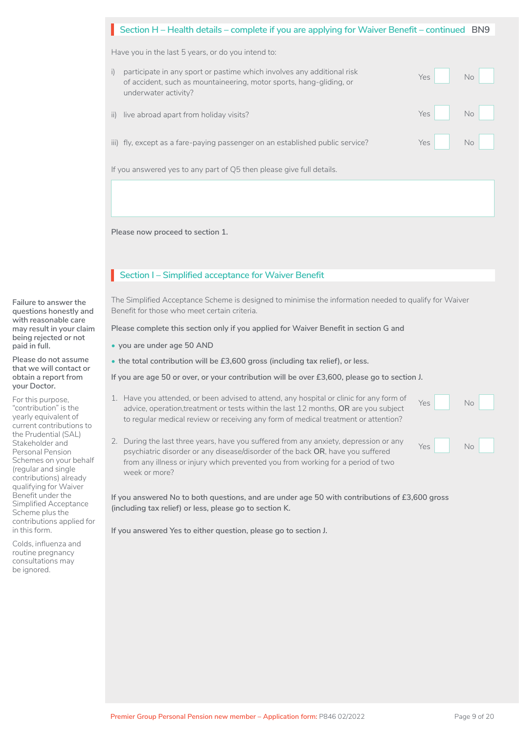| Section H – Health details – complete if you are applying for Waiver Benefit – continued BN9 |  |
|----------------------------------------------------------------------------------------------|--|
|                                                                                              |  |

Have you in the last 5 years, or do you intend to:

| participate in any sport or pastime which involves any additional risk<br>of accident, such as mountaineering, motor sports, hang-gliding, or<br>underwater activity? | Yes   | No                                                                                          |
|-----------------------------------------------------------------------------------------------------------------------------------------------------------------------|-------|---------------------------------------------------------------------------------------------|
| ii) live abroad apart from holiday visits?                                                                                                                            |       |                                                                                             |
| iii) fly, except as a fare-paying passenger on an established public service?                                                                                         | $Yes$ | $\begin{array}{ c c c c c c c c c } \hline \quad\quad & \text{No} & \quad\quad \end{array}$ |
| If you answered yes to any part of Q5 then please give full details.                                                                                                  |       |                                                                                             |
|                                                                                                                                                                       |       | Yes No                                                                                      |

**Please now proceed to section 1.**

# **Section I – Simplified acceptance for Waiver Benefit**

The Simplified Acceptance Scheme is designed to minimise the information needed to qualify for Waiver Benefit for those who meet certain criteria.

**Please complete this section only if you applied for Waiver Benefit in section G and**

- **you are under age 50 AND**
- **the total contribution will be £3,600 gross (including tax relief), or less.**

**If you are age 50 or over, or your contribution will be over £3,600, please go to section J.**

- 1. Have you attended, or been advised to attend, any hospital or clinic for any form of advice, operation,treatment or tests within the last 12 months, **OR** are you subject to regular medical review or receiving any form of medical treatment or attention? Yes No  $N_0$  $\Box$
- 2. During the last three years, have you suffered from any anxiety, depression or any psychiatric disorder or any disease/disorder of the back **OR**, have you suffered from any illness or injury which prevented you from working for a period of two week or more? Yes No

**If you answered No to both questions, and are under age 50 with contributions of £3,600 gross (including tax relief) or less, please go to section K.**

**If you answered Yes to either question, please go to section J.**

**Failure to answer the questions honestly and with reasonable care may result in your claim being rejected or not paid in full.**

**Please do not assume that we will contact or obtain a report from your Doctor.**

For this purpose, "contribution" is the yearly equivalent of current contributions to the Prudential (SAL) Stakeholder and Personal Pension Schemes on your behalf (regular and single contributions) already qualifying for Waiver Benefit under the Simplified Acceptance Scheme plus the contributions applied for in this form.

Colds, influenza and routine pregnancy consultations may be ignored.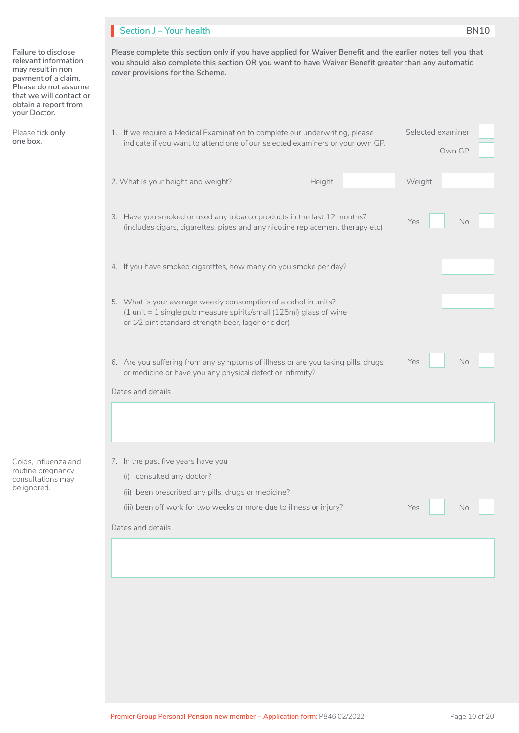# **Section J – Your health BN10**

**Failure to disclose relevant information may result in non payment of a claim. Please do not assume that we will contact or obtain a report from your Doctor.**

Please tick **only one box**.

**Please complete this section only if you have applied for Waiver Benefit and the earlier notes tell you that you should also complete this section OR you want to have Waiver Benefit greater than any automatic cover provisions for the Scheme.**

| 1. If we require a Medical Examination to complete our underwriting, please<br>indicate if you want to attend one of our selected examiners or your own GP.                                  | Selected examiner<br>Own GP |
|----------------------------------------------------------------------------------------------------------------------------------------------------------------------------------------------|-----------------------------|
| 2. What is your height and weight?<br>Height<br>Weight                                                                                                                                       |                             |
| 3. Have you smoked or used any tobacco products in the last 12 months?<br>Yes<br>(includes cigars, cigarettes, pipes and any nicotine replacement therapy etc)                               | No                          |
| 4. If you have smoked cigarettes, how many do you smoke per day?                                                                                                                             |                             |
| 5. What is your average weekly consumption of alcohol in units?<br>(1 unit = 1 single pub measure spirits/small (125ml) glass of wine<br>or 1/2 pint standard strength beer, lager or cider) |                             |
| 6. Are you suffering from any symptoms of illness or are you taking pills, drugs<br>Yes<br>or medicine or have you any physical defect or infirmity?<br>Dates and details                    | No                          |
|                                                                                                                                                                                              |                             |
| 7. In the past five years have you                                                                                                                                                           |                             |
| (i) consulted any doctor?                                                                                                                                                                    |                             |
| (ii) been prescribed any pills, drugs or medicine?                                                                                                                                           |                             |
| (iii) been off work for two weeks or more due to illness or injury?<br>Yes                                                                                                                   | No                          |
| Dates and details                                                                                                                                                                            |                             |
|                                                                                                                                                                                              |                             |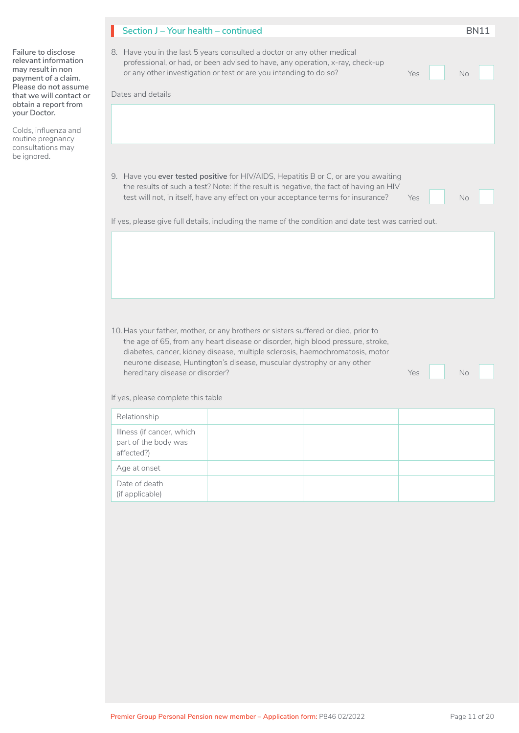|                                                                                                                                                                                    | Section J - Your health - continued                                                                                                                                                                                                                                                                                                                                                                              | <b>BN11</b> |  |  |  |  |  |  |  |
|------------------------------------------------------------------------------------------------------------------------------------------------------------------------------------|------------------------------------------------------------------------------------------------------------------------------------------------------------------------------------------------------------------------------------------------------------------------------------------------------------------------------------------------------------------------------------------------------------------|-------------|--|--|--|--|--|--|--|
| Failure to disclose<br>relevant information<br>may result in non<br>payment of a claim.<br>Please do not assume<br>that we will contact or<br>obtain a report from<br>your Doctor. | 8. Have you in the last 5 years consulted a doctor or any other medical<br>professional, or had, or been advised to have, any operation, x-ray, check-up<br>or any other investigation or test or are you intending to do so?<br>Yes<br>Dates and details                                                                                                                                                        | No          |  |  |  |  |  |  |  |
| Colds, influenza and<br>routine pregnancy<br>consultations may                                                                                                                     |                                                                                                                                                                                                                                                                                                                                                                                                                  |             |  |  |  |  |  |  |  |
| be ignored.                                                                                                                                                                        | 9. Have you ever tested positive for HIV/AIDS, Hepatitis B or C, or are you awaiting<br>the results of such a test? Note: If the result is negative, the fact of having an HIV<br>test will not, in itself, have any effect on your acceptance terms for insurance?<br>Yes<br>If yes, please give full details, including the name of the condition and date test was carried out.                               |             |  |  |  |  |  |  |  |
|                                                                                                                                                                                    |                                                                                                                                                                                                                                                                                                                                                                                                                  |             |  |  |  |  |  |  |  |
|                                                                                                                                                                                    | 10. Has your father, mother, or any brothers or sisters suffered or died, prior to<br>the age of 65, from any heart disease or disorder, high blood pressure, stroke,<br>diabetes, cancer, kidney disease, multiple sclerosis, haemochromatosis, motor<br>neurone disease, Huntington's disease, muscular dystrophy or any other<br>hereditary disease or disorder?<br>Yes<br>If yes, please complete this table | No          |  |  |  |  |  |  |  |
|                                                                                                                                                                                    | Relationship                                                                                                                                                                                                                                                                                                                                                                                                     |             |  |  |  |  |  |  |  |
|                                                                                                                                                                                    | Illness (if cancer, which<br>part of the body was<br>affected?)                                                                                                                                                                                                                                                                                                                                                  |             |  |  |  |  |  |  |  |
|                                                                                                                                                                                    | Age at onset                                                                                                                                                                                                                                                                                                                                                                                                     |             |  |  |  |  |  |  |  |
|                                                                                                                                                                                    | Date of death<br>(if applicable)                                                                                                                                                                                                                                                                                                                                                                                 |             |  |  |  |  |  |  |  |
|                                                                                                                                                                                    |                                                                                                                                                                                                                                                                                                                                                                                                                  |             |  |  |  |  |  |  |  |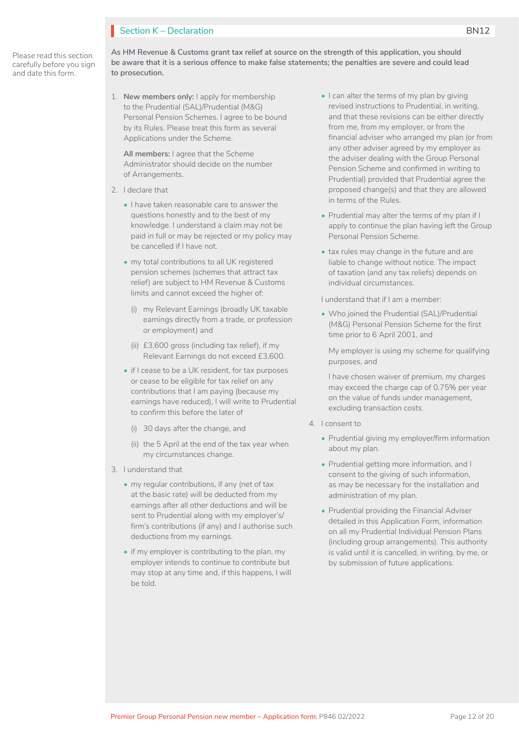# **Section K – Declaration**

Please read this section carefully before you sign and date this form.

**As HM Revenue & Customs grant tax relief at source on the strength of this application, you should be aware that it is a serious offence to make false statements; the penalties are severe and could lead to prosecution.**

1. **New members only:** I apply for membership to the Prudential (SAL)/Prudential (M&G) Personal Pension Schemes. I agree to be bound by its Rules. Please treat this form as several Applications under the Scheme.

**All members:** I agree that the Scheme Administrator should decide on the number of Arrangements.

- 2. I declare that
	- I have taken reasonable care to answer the questions honestly and to the best of my knowledge. I understand a claim may not be paid in full or may be rejected or my policy may be cancelled if I have not.
	- my total contributions to all UK registered pension schemes (schemes that attract tax relief) are subject to HM Revenue & Customs limits and cannot exceed the higher of:
		- (i) my Relevant Earnings (broadly UK taxable earnings directly from a trade, or profession or employment) and
		- (ii) £3,600 gross (including tax relief), if my Relevant Earnings do not exceed £3,600.
	- if I cease to be a UK resident, for tax purposes or cease to be eligible for tax relief on any contributions that I am paying (because my earnings have reduced), I will write to Prudential to confirm this before the later of
		- (i) 30 days after the change, and
		- (ii) the 5 April at the end of the tax year when my circumstances change.
- 3. I understand that
	- my regular contributions, if any (net of tax at the basic rate) will be deducted from my earnings after all other deductions and will be sent to Prudential along with my employer's/ firm's contributions (if any) and I authorise such deductions from my earnings.
	- if my employer is contributing to the plan, my employer intends to continue to contribute but may stop at any time and, if this happens, I will be told.
- I can alter the terms of my plan by giving revised instructions to Prudential, in writing, and that these revisions can be either directly from me, from my employer, or from the financial adviser who arranged my plan (or from any other adviser agreed by my employer as the adviser dealing with the Group Personal Pension Scheme and confirmed in writing to Prudential) provided that Prudential agree the proposed change(s) and that they are allowed in terms of the Rules.
- Prudential may alter the terms of my plan if I apply to continue the plan having left the Group Personal Pension Scheme.
- tax rules may change in the future and are liable to change without notice. The impact of taxation (and any tax reliefs) depends on individual circumstances.

I understand that if I am a member:

• Who joined the Prudential (SAL)/Prudential (M&G) Personal Pension Scheme for the first time prior to 6 April 2001, and

My employer is using my scheme for qualifying purposes, and

I have chosen waiver of premium, my charges may exceed the charge cap of 0.75% per year on the value of funds under management, excluding transaction costs.

- 4. I consent to
	- Prudential giving my employer/firm information about my plan.
	- Prudential getting more information, and I consent to the giving of such information, as may be necessary for the installation and administration of my plan.
	- Prudential providing the Financial Adviser detailed in this Application Form, information on all my Prudential Individual Pension Plans (including group arrangements). This authority is valid until it is cancelled, in writing, by me, or by submission of future applications.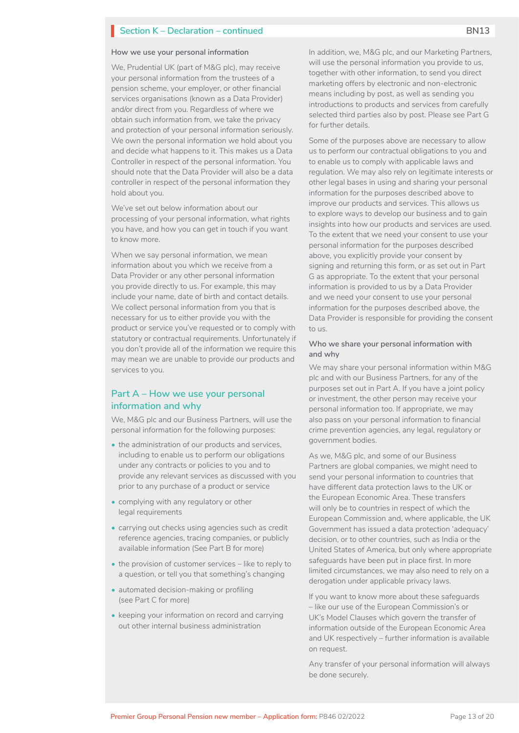#### **How we use your personal information**

We, Prudential UK (part of M&G plc), may receive your personal information from the trustees of a pension scheme, your employer, or other financial services organisations (known as a Data Provider) and/or direct from you. Regardless of where we obtain such information from, we take the privacy and protection of your personal information seriously. We own the personal information we hold about you and decide what happens to it. This makes us a Data Controller in respect of the personal information. You should note that the Data Provider will also be a data controller in respect of the personal information they hold about you.

We've set out below information about our processing of your personal information, what rights you have, and how you can get in touch if you want to know more.

When we say personal information, we mean information about you which we receive from a Data Provider or any other personal information you provide directly to us. For example, this may include your name, date of birth and contact details. We collect personal information from you that is necessary for us to either provide you with the product or service you've requested or to comply with statutory or contractual requirements. Unfortunately if you don't provide all of the information we require this may mean we are unable to provide our products and services to you.

### **Part A – How we use your personal information and why**

We, M&G plc and our Business Partners, will use the personal information for the following purposes:

- the administration of our products and services, including to enable us to perform our obligations under any contracts or policies to you and to provide any relevant services as discussed with you prior to any purchase of a product or service
- complying with any regulatory or other legal requirements
- carrying out checks using agencies such as credit reference agencies, tracing companies, or publicly available information (See Part B for more)
- the provision of customer services like to reply to a question, or tell you that something's changing
- automated decision-making or profiling (see Part C for more)
- keeping your information on record and carrying out other internal business administration

In addition, we, M&G plc, and our Marketing Partners, will use the personal information you provide to us, together with other information, to send you direct marketing offers by electronic and non-electronic means including by post, as well as sending you introductions to products and services from carefully selected third parties also by post. Please see Part G for further details.

Some of the purposes above are necessary to allow us to perform our contractual obligations to you and to enable us to comply with applicable laws and regulation. We may also rely on legitimate interests or other legal bases in using and sharing your personal information for the purposes described above to improve our products and services. This allows us to explore ways to develop our business and to gain insights into how our products and services are used. To the extent that we need your consent to use your personal information for the purposes described above, you explicitly provide your consent by signing and returning this form, or as set out in Part G as appropriate. To the extent that your personal information is provided to us by a Data Provider and we need your consent to use your personal information for the purposes described above, the Data Provider is responsible for providing the consent to us.

#### **Who we share your personal information with and why**

We may share your personal information within M&G plc and with our Business Partners, for any of the purposes set out in Part A. If you have a joint policy or investment, the other person may receive your personal information too. If appropriate, we may also pass on your personal information to financial crime prevention agencies, any legal, regulatory or government bodies.

As we, M&G plc, and some of our Business Partners are global companies, we might need to send your personal information to countries that have different data protection laws to the UK or the European Economic Area. These transfers will only be to countries in respect of which the European Commission and, where applicable, the UK Government has issued a data protection 'adequacy' decision, or to other countries, such as India or the United States of America, but only where appropriate safeguards have been put in place first. In more limited circumstances, we may also need to rely on a derogation under applicable privacy laws.

If you want to know more about these safeguards – like our use of the European Commission's or UK's Model Clauses which govern the transfer of information outside of the European Economic Area and UK respectively – further information is available on request.

Any transfer of your personal information will always be done securely.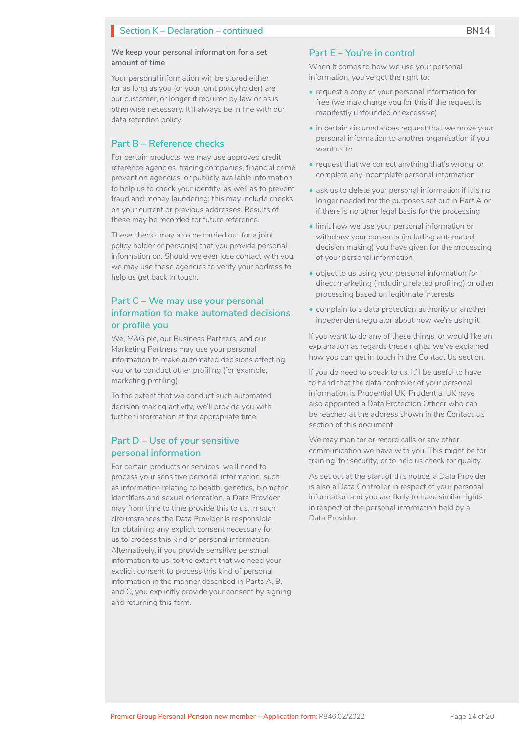Your personal information will be stored either for as long as you (or your joint policyholder) are our customer, or longer if required by law or as is otherwise necessary. It'll always be in line with our data retention policy.

#### **Part B – Reference checks**

For certain products, we may use approved credit reference agencies, tracing companies, financial crime prevention agencies, or publicly available information, to help us to check your identity, as well as to prevent fraud and money laundering; this may include checks on your current or previous addresses. Results of these may be recorded for future reference.

These checks may also be carried out for a joint policy holder or person(s) that you provide personal information on. Should we ever lose contact with you, we may use these agencies to verify your address to help us get back in touch.

### **Part C – We may use your personal information to make automated decisions or profile you**

We, M&G plc, our Business Partners, and our Marketing Partners may use your personal information to make automated decisions affecting you or to conduct other profiling (for example, marketing profiling).

To the extent that we conduct such automated decision making activity, we'll provide you with further information at the appropriate time.

### **Part D – Use of your sensitive personal information**

For certain products or services, we'll need to process your sensitive personal information, such as information relating to health, genetics, biometric identifiers and sexual orientation, a Data Provider may from time to time provide this to us. In such circumstances the Data Provider is responsible for obtaining any explicit consent necessary for us to process this kind of personal information. Alternatively, if you provide sensitive personal information to us, to the extent that we need your explicit consent to process this kind of personal information in the manner described in Parts A, B, and C, you explicitly provide your consent by signing and returning this form.

#### **Part E – You're in control**

When it comes to how we use your personal information, you've got the right to:

- request a copy of your personal information for free (we may charge you for this if the request is manifestly unfounded or excessive)
- in certain circumstances request that we move your personal information to another organisation if you want us to
- request that we correct anything that's wrong, or complete any incomplete personal information
- ask us to delete your personal information if it is no longer needed for the purposes set out in Part A or if there is no other legal basis for the processing
- limit how we use your personal information or withdraw your consents (including automated decision making) you have given for the processing of your personal information
- object to us using your personal information for direct marketing (including related profiling) or other processing based on legitimate interests
- complain to a data protection authority or another independent regulator about how we're using it.

If you want to do any of these things, or would like an explanation as regards these rights, we've explained how you can get in touch in the Contact Us section.

If you do need to speak to us, it'll be useful to have to hand that the data controller of your personal information is Prudential UK. Prudential UK have also appointed a Data Protection Officer who can be reached at the address shown in the Contact Us section of this document.

We may monitor or record calls or any other communication we have with you. This might be for training, for security, or to help us check for quality.

As set out at the start of this notice, a Data Provider is also a Data Controller in respect of your personal information and you are likely to have similar rights in respect of the personal information held by a Data Provider.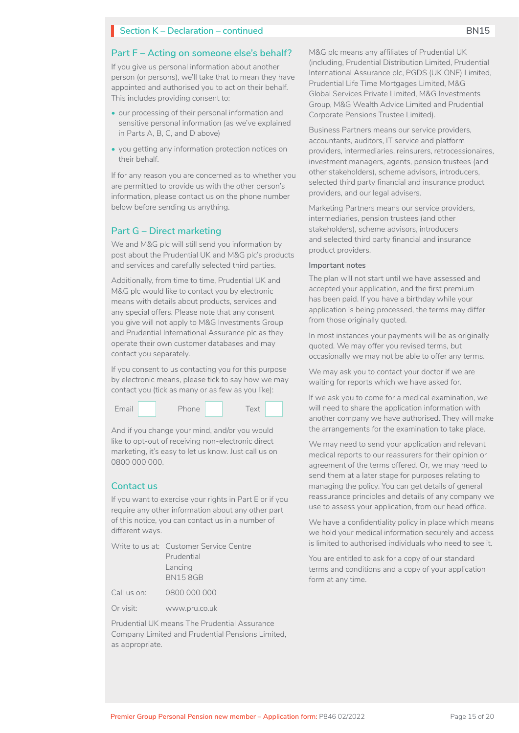#### **Part F – Acting on someone else's behalf?**

If you give us personal information about another person (or persons), we'll take that to mean they have appointed and authorised you to act on their behalf. This includes providing consent to:

- our processing of their personal information and sensitive personal information (as we've explained in Parts A, B, C, and D above)
- you getting any information protection notices on their behalf.

If for any reason you are concerned as to whether you are permitted to provide us with the other person's information, please contact us on the phone number below before sending us anything.

#### **Part G – Direct marketing**

We and M&G plc will still send you information by post about the Prudential UK and M&G plc's products and services and carefully selected third parties.

Additionally, from time to time, Prudential UK and M&G plc would like to contact you by electronic means with details about products, services and any special offers. Please note that any consent you give will not apply to M&G Investments Group and Prudential International Assurance plc as they operate their own customer databases and may contact you separately.

If you consent to us contacting you for this purpose by electronic means, please tick to say how we may contact you (tick as many or as few as you like):



And if you change your mind, and/or you would like to opt-out of receiving non-electronic direct marketing, it's easy to let us know. Just call us on 0800 000 000.

#### **Contact us**

If you want to exercise your rights in Part E or if you require any other information about any other part of this notice, you can contact us in a number of different ways.

|             | Write to us at: Customer Service Centre |
|-------------|-----------------------------------------|
|             | Prudential                              |
|             | Lancing                                 |
|             | <b>BN158GB</b>                          |
| Call us on: | 0800 000 000                            |
| Or visit:   | www.pru.co.uk                           |

Prudential UK means The Prudential Assurance Company Limited and Prudential Pensions Limited, as appropriate.

M&G plc means any affiliates of Prudential UK (including, Prudential Distribution Limited, Prudential International Assurance plc, PGDS (UK ONE) Limited, Prudential Life Time Mortgages Limited, M&G Global Services Private Limited, M&G Investments Group, M&G Wealth Advice Limited and Prudential Corporate Pensions Trustee Limited).

Business Partners means our service providers, accountants, auditors, IT service and platform providers, intermediaries, reinsurers, retrocessionaires, investment managers, agents, pension trustees (and other stakeholders), scheme advisors, introducers, selected third party financial and insurance product providers, and our legal advisers.

Marketing Partners means our service providers, intermediaries, pension trustees (and other stakeholders), scheme advisors, introducers and selected third party financial and insurance product providers.

#### **Important notes**

The plan will not start until we have assessed and accepted your application, and the first premium has been paid. If you have a birthday while your application is being processed, the terms may differ from those originally quoted.

In most instances your payments will be as originally quoted. We may offer you revised terms, but occasionally we may not be able to offer any terms.

We may ask you to contact your doctor if we are waiting for reports which we have asked for.

If we ask you to come for a medical examination, we will need to share the application information with another company we have authorised. They will make the arrangements for the examination to take place.

We may need to send your application and relevant medical reports to our reassurers for their opinion or agreement of the terms offered. Or, we may need to send them at a later stage for purposes relating to managing the policy. You can get details of general reassurance principles and details of any company we use to assess your application, from our head office.

We have a confidentiality policy in place which means we hold your medical information securely and access is limited to authorised individuals who need to see it.

You are entitled to ask for a copy of our standard terms and conditions and a copy of your application form at any time.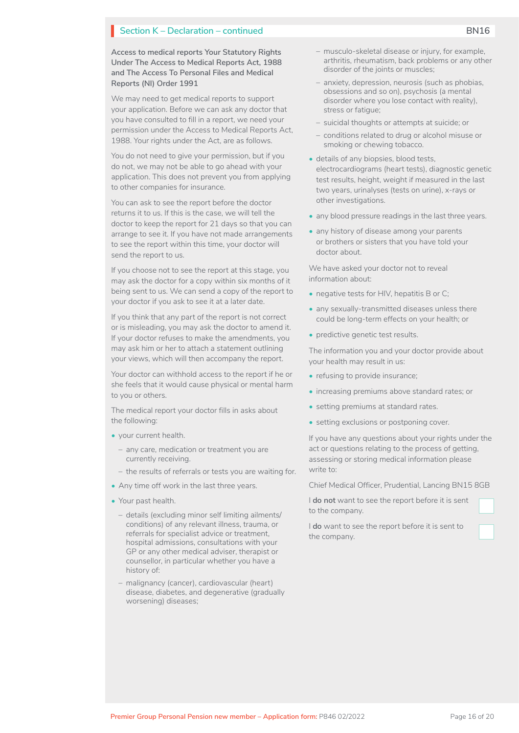**Access to medical reports Your Statutory Rights Under The Access to Medical Reports Act, 1988 and The Access To Personal Files and Medical Reports (NI) Order 1991**

We may need to get medical reports to support your application. Before we can ask any doctor that you have consulted to fill in a report, we need your permission under the Access to Medical Reports Act, 1988. Your rights under the Act, are as follows.

You do not need to give your permission, but if you do not, we may not be able to go ahead with your application. This does not prevent you from applying to other companies for insurance.

You can ask to see the report before the doctor returns it to us. If this is the case, we will tell the doctor to keep the report for 21 days so that you can arrange to see it. If you have not made arrangements to see the report within this time, your doctor will send the report to us.

If you choose not to see the report at this stage, you may ask the doctor for a copy within six months of it being sent to us. We can send a copy of the report to your doctor if you ask to see it at a later date.

If you think that any part of the report is not correct or is misleading, you may ask the doctor to amend it. If your doctor refuses to make the amendments, you may ask him or her to attach a statement outlining your views, which will then accompany the report.

Your doctor can withhold access to the report if he or she feels that it would cause physical or mental harm to you or others.

The medical report your doctor fills in asks about the following:

- your current health.
	- any care, medication or treatment you are currently receiving.
	- the results of referrals or tests you are waiting for.
- Any time off work in the last three years.
- Your past health.
	- details (excluding minor self limiting ailments/ conditions) of any relevant illness, trauma, or referrals for specialist advice or treatment, hospital admissions, consultations with your GP or any other medical adviser, therapist or counsellor, in particular whether you have a history of:
	- malignancy (cancer), cardiovascular (heart) disease, diabetes, and degenerative (gradually worsening) diseases;
- musculo-skeletal disease or injury, for example, arthritis, rheumatism, back problems or any other disorder of the joints or muscles;
- anxiety, depression, neurosis (such as phobias, obsessions and so on), psychosis (a mental disorder where you lose contact with reality), stress or fatigue;
- suicidal thoughts or attempts at suicide; or
- conditions related to drug or alcohol misuse or smoking or chewing tobacco.
- details of any biopsies, blood tests, electrocardiograms (heart tests), diagnostic genetic test results, height, weight if measured in the last two years, urinalyses (tests on urine), x-rays or other investigations.
- any blood pressure readings in the last three years.
- any history of disease among your parents or brothers or sisters that you have told your doctor about.

We have asked your doctor not to reveal information about:

- negative tests for HIV, hepatitis B or C;
- any sexually-transmitted diseases unless there could be long-term effects on your health; or
- predictive genetic test results.

The information you and your doctor provide about your health may result in us:

- refusing to provide insurance;
- increasing premiums above standard rates; or
- setting premiums at standard rates.
- setting exclusions or postponing cover.

If you have any questions about your rights under the act or questions relating to the process of getting, assessing or storing medical information please write to:

Chief Medical Officer, Prudential, Lancing BN15 8GB

I **do not** want to see the report before it is sent to the company.

I **do** want to see the report before it is sent to the company.

 $\Box$ 

~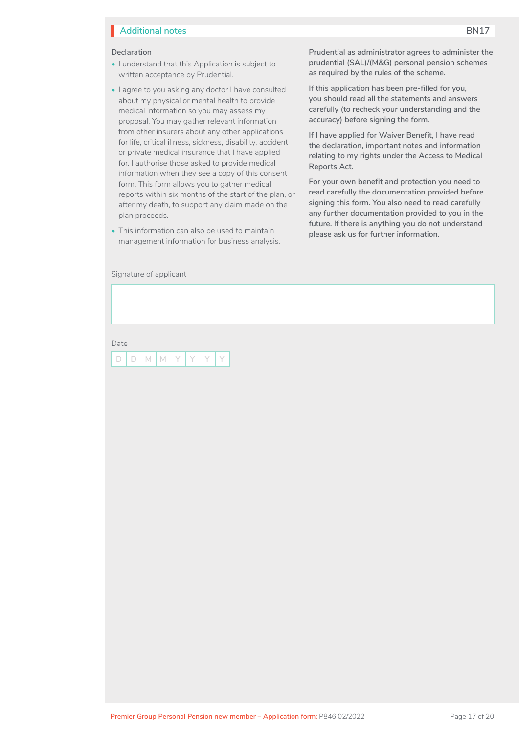# **Additional notes BN17**

#### **Declaration**

- I understand that this Application is subject to written acceptance by Prudential.
- I agree to you asking any doctor I have consulted about my physical or mental health to provide medical information so you may assess my proposal. You may gather relevant information from other insurers about any other applications for life, critical illness, sickness, disability, accident or private medical insurance that I have applied for. I authorise those asked to provide medical information when they see a copy of this consent form. This form allows you to gather medical reports within six months of the start of the plan, or after my death, to support any claim made on the plan proceeds.
- This information can also be used to maintain management information for business analysis.

Signature of applicant

**Prudential as administrator agrees to administer the prudential (SAL)/(M&G) personal pension schemes as required by the rules of the scheme.**

**If this application has been pre-filled for you, you should read all the statements and answers carefully (to recheck your understanding and the accuracy) before signing the form.**

**If I have applied for Waiver Benefit, I have read the declaration, important notes and information relating to my rights under the Access to Medical Reports Act.**

**For your own benefit and protection you need to read carefully the documentation provided before signing this form. You also need to read carefully any further documentation provided to you in the future. If there is anything you do not understand please ask us for further information.**

Date

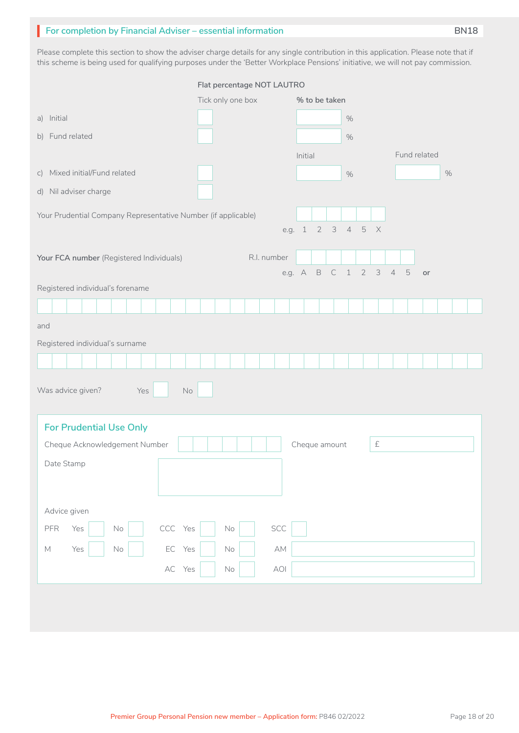# **For completion by Financial Adviser – essential information**

Please complete this section to show the adviser charge details for any single contribution in this application. Please note that if this scheme is being used for qualifying purposes under the 'Better Workplace Pensions' initiative, we will not pay commission.

|                                                               | Flat percentage NOT LAUTRO |             |                             |               |                  |  |       |           |                |             |              |      |  |  |
|---------------------------------------------------------------|----------------------------|-------------|-----------------------------|---------------|------------------|--|-------|-----------|----------------|-------------|--------------|------|--|--|
|                                                               | Tick only one box          |             |                             | % to be taken |                  |  |       |           |                |             |              |      |  |  |
| a) Initial                                                    |                            |             |                             |               |                  |  | $\%$  |           |                |             |              |      |  |  |
| b) Fund related                                               |                            |             |                             |               |                  |  | $\%$  |           |                |             |              |      |  |  |
|                                                               |                            |             |                             | Initial       |                  |  |       |           |                |             | Fund related |      |  |  |
| c) Mixed initial/Fund related                                 |                            |             |                             |               |                  |  | $\%$  |           |                |             |              | $\%$ |  |  |
| d) Nil adviser charge                                         |                            |             |                             |               |                  |  |       |           |                |             |              |      |  |  |
| Your Prudential Company Representative Number (if applicable) |                            |             |                             |               |                  |  |       |           |                |             |              |      |  |  |
|                                                               |                            |             | e.g. 1                      |               |                  |  | 2345X |           |                |             |              |      |  |  |
|                                                               |                            |             |                             |               |                  |  |       |           |                |             |              |      |  |  |
| Your FCA number (Registered Individuals)                      |                            | R.I. number |                             |               |                  |  |       |           |                |             |              |      |  |  |
| Registered individual's forename                              |                            |             |                             |               | e.g. A B C 1 2 3 |  |       |           | $\overline{4}$ | $\mathbf 5$ | or           |      |  |  |
|                                                               |                            |             |                             |               |                  |  |       |           |                |             |              |      |  |  |
|                                                               |                            |             |                             |               |                  |  |       |           |                |             |              |      |  |  |
| and                                                           |                            |             |                             |               |                  |  |       |           |                |             |              |      |  |  |
| Registered individual's surname                               |                            |             |                             |               |                  |  |       |           |                |             |              |      |  |  |
|                                                               |                            |             |                             |               |                  |  |       |           |                |             |              |      |  |  |
| Was advice given?<br>$\mathsf{No}$<br>Yes                     |                            |             |                             |               |                  |  |       |           |                |             |              |      |  |  |
|                                                               |                            |             |                             |               |                  |  |       |           |                |             |              |      |  |  |
| <b>For Prudential Use Only</b>                                |                            |             |                             |               |                  |  |       |           |                |             |              |      |  |  |
| Cheque Acknowledgement Number                                 |                            |             |                             |               | Cheque amount    |  |       | $\pounds$ |                |             |              |      |  |  |
| Date Stamp                                                    |                            |             |                             |               |                  |  |       |           |                |             |              |      |  |  |
|                                                               |                            |             |                             |               |                  |  |       |           |                |             |              |      |  |  |
|                                                               |                            |             |                             |               |                  |  |       |           |                |             |              |      |  |  |
| Advice given                                                  |                            |             |                             |               |                  |  |       |           |                |             |              |      |  |  |
| CCC Yes<br>Yes<br>${\sf PFR}$<br>$\mathsf{No}$                | $\mathsf{No}$              |             | SCC                         |               |                  |  |       |           |                |             |              |      |  |  |
| EC Yes<br>Yes<br>$\mathbb M$<br>$\mathsf{No}$                 | $\mathsf{No}$              |             | $\mathbb{A}\mathbb{M}$      |               |                  |  |       |           |                |             |              |      |  |  |
| AC Yes                                                        | $\mathsf{No}$              |             | $\left. \text{AOI} \right.$ |               |                  |  |       |           |                |             |              |      |  |  |
|                                                               |                            |             |                             |               |                  |  |       |           |                |             |              |      |  |  |
|                                                               |                            |             |                             |               |                  |  |       |           |                |             |              |      |  |  |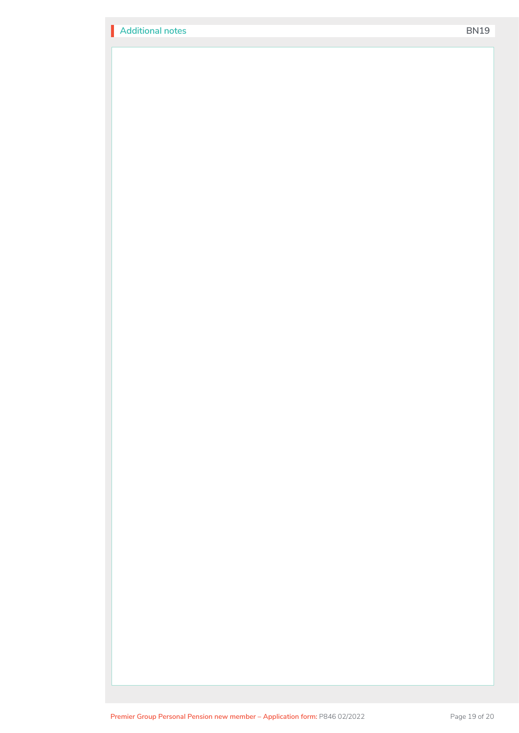| <b>Additional notes</b> |  |
|-------------------------|--|
|                         |  |